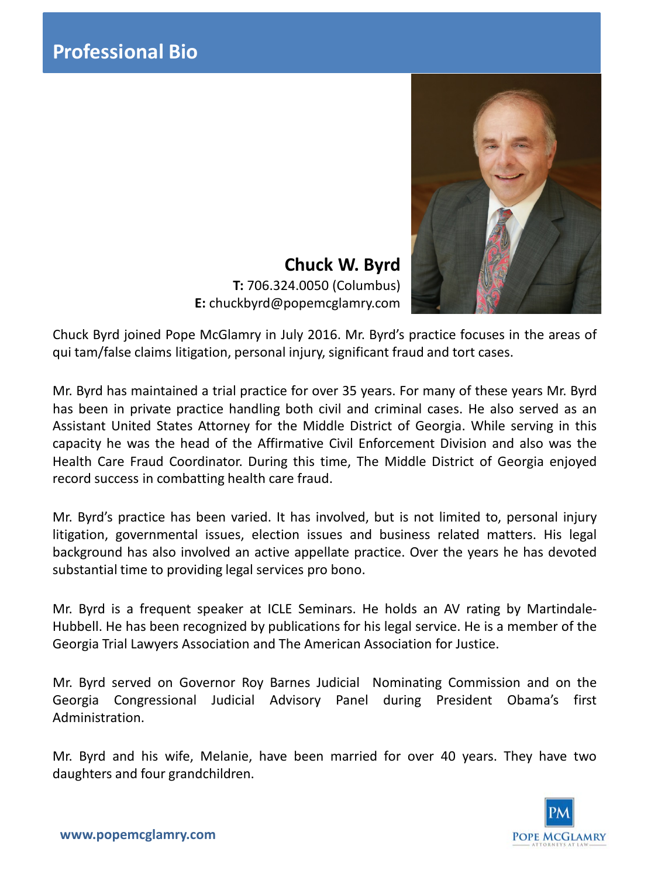

**Chuck W. Byrd T:** 706.324.0050 (Columbus) **E:** chuckbyrd@popemcglamry.com

Chuck Byrd joined Pope McGlamry in July 2016. Mr. Byrd's practice focuses in the areas of qui tam/false claims litigation, personal injury, significant fraud and tort cases.

Mr. Byrd has maintained a trial practice for over 35 years. For many of these years Mr. Byrd has been in private practice handling both civil and criminal cases. He also served as an Assistant United States Attorney for the Middle District of Georgia. While serving in this capacity he was the head of the Affirmative Civil Enforcement Division and also was the Health Care Fraud Coordinator. During this time, The Middle District of Georgia enjoyed record success in combatting health care fraud.

Mr. Byrd's practice has been varied. It has involved, but is not limited to, personal injury litigation, governmental issues, election issues and business related matters. His legal background has also involved an active appellate practice. Over the years he has devoted substantial time to providing legal services pro bono.

Mr. Byrd is a frequent speaker at ICLE Seminars. He holds an AV rating by Martindale-Hubbell. He has been recognized by publications for his legal service. He is a member of the Georgia Trial Lawyers Association and The American Association for Justice.

Mr. Byrd served on Governor Roy Barnes Judicial Nominating Commission and on the Georgia Congressional Judicial Advisory Panel during President Obama's first Administration.

Mr. Byrd and his wife, Melanie, have been married for over 40 years. They have two daughters and four grandchildren.